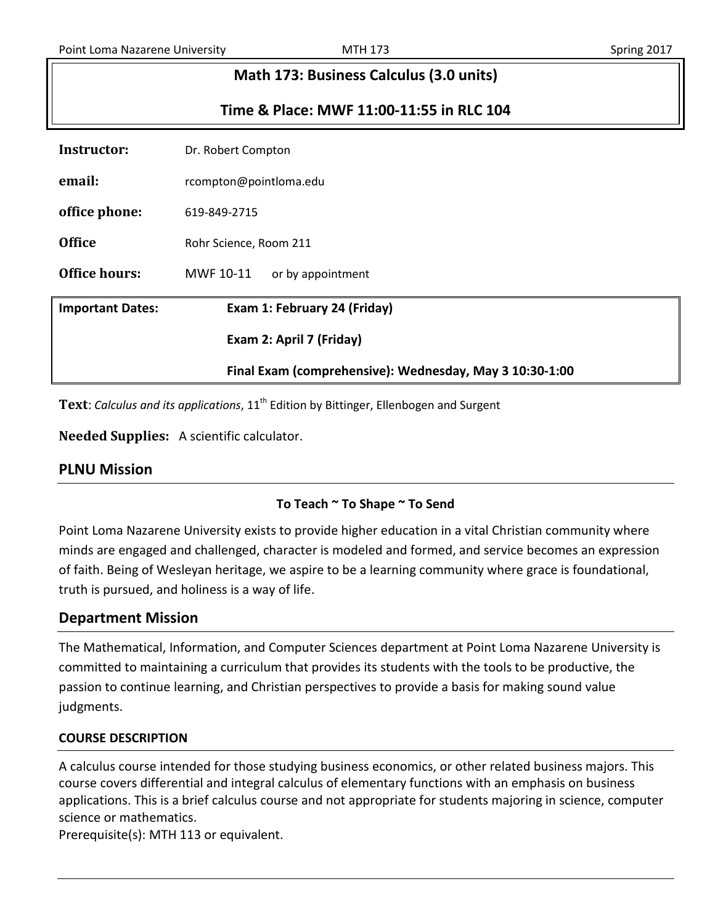# **Math 173: Business Calculus (3.0 units)**

# **Time & Place: MWF 11:00-11:55 in RLC 104**

| Instructor:             | Dr. Robert Compton                                      |  |  |  |  |
|-------------------------|---------------------------------------------------------|--|--|--|--|
| email:                  | rcompton@pointloma.edu                                  |  |  |  |  |
| office phone:           | 619-849-2715                                            |  |  |  |  |
| <b>Office</b>           | Rohr Science, Room 211                                  |  |  |  |  |
| Office hours:           | MWF 10-11<br>or by appointment                          |  |  |  |  |
| <b>Important Dates:</b> | Exam 1: February 24 (Friday)                            |  |  |  |  |
|                         | Exam 2: April 7 (Friday)                                |  |  |  |  |
|                         | Final Exam (comprehensive): Wednesday, May 3 10:30-1:00 |  |  |  |  |

Text: *Calculus and its applications*, 11<sup>th</sup> Edition by Bittinger, Ellenbogen and Surgent

**Needed Supplies:** A scientific calculator.

# **To Teach ~ To Shape ~ To Send**

Point Loma Nazarene University exists to provide higher education in a vital Christian community where minds are engaged and challenged, character is modeled and formed, and service becomes an expression of faith. Being of Wesleyan heritage, we aspire to be a learning community where grace is foundational, truth is pursued, and holiness is a way of life.

# **Department Mission**

The Mathematical, Information, and Computer Sciences department at Point Loma Nazarene University is committed to maintaining a curriculum that provides its students with the tools to be productive, the passion to continue learning, and Christian perspectives to provide a basis for making sound value judgments.

# **COURSE DESCRIPTION**

A calculus course intended for those studying business economics, or other related business majors. This course covers differential and integral calculus of elementary functions with an emphasis on business applications. This is a brief calculus course and not appropriate for students majoring in science, computer science or mathematics.

Prerequisite(s): MTH 113 or equivalent.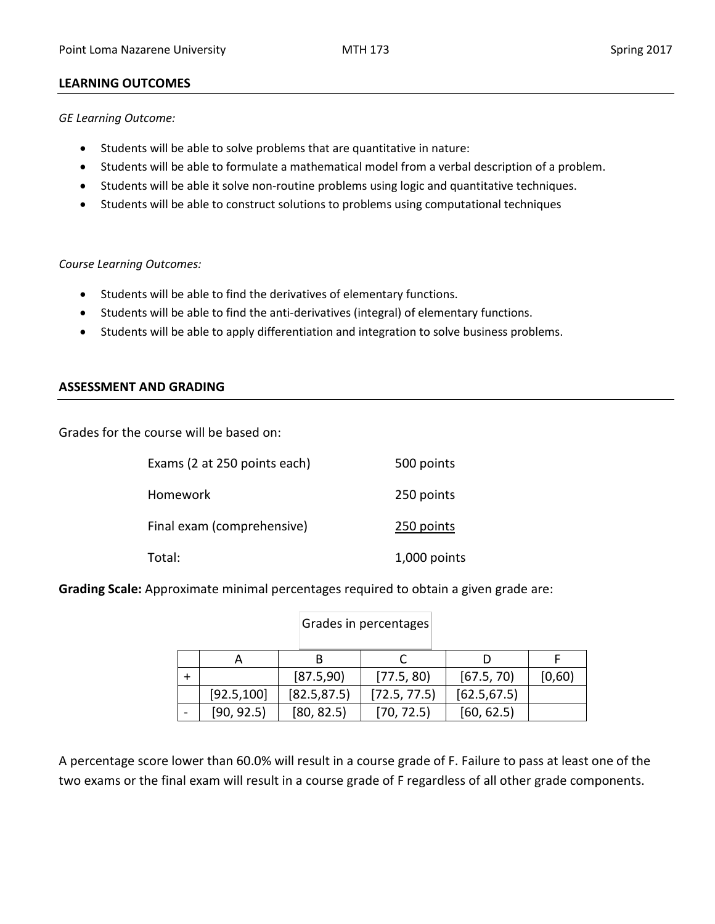### **LEARNING OUTCOMES**

*GE Learning Outcome:* 

- Students will be able to solve problems that are quantitative in nature:
- Students will be able to formulate a mathematical model from a verbal description of a problem.
- Students will be able it solve non-routine problems using logic and quantitative techniques.
- Students will be able to construct solutions to problems using computational techniques

### *Course Learning Outcomes:*

- Students will be able to find the derivatives of elementary functions.
- Students will be able to find the anti-derivatives (integral) of elementary functions.
- Students will be able to apply differentiation and integration to solve business problems.

### **ASSESSMENT AND GRADING**

Grades for the course will be based on:

| Exams (2 at 250 points each) | 500 points   |
|------------------------------|--------------|
| Homework                     | 250 points   |
| Final exam (comprehensive)   | 250 points   |
| Total:                       | 1,000 points |

**Grading Scale:** Approximate minimal percentages required to obtain a given grade are:

|             | [87.5,90]    | [77.5, 80]   | [67.5, 70]   | [0,60] |
|-------------|--------------|--------------|--------------|--------|
| [92.5, 100] | [82.5, 87.5] | [72.5, 77.5] | [62.5, 67.5] |        |
| [90, 92.5]  | [80, 82.5]   | [70, 72.5]   | [60, 62.5]   |        |

Grades in percentages

A percentage score lower than 60.0% will result in a course grade of F. Failure to pass at least one of the two exams or the final exam will result in a course grade of F regardless of all other grade components.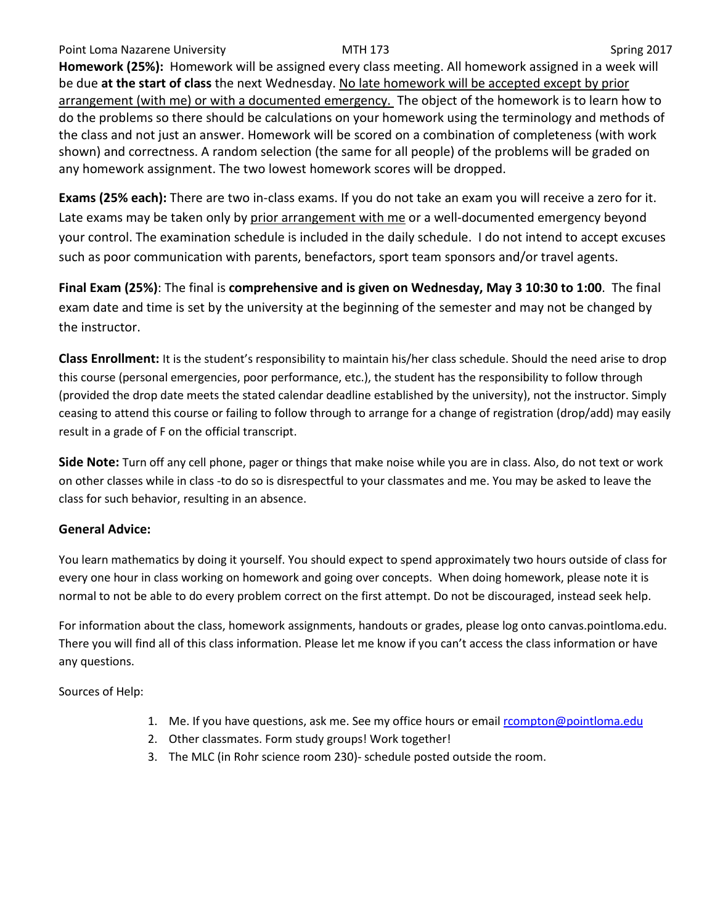### Point Loma Nazarene University **MTH 173** NOST 100 Spring 2017

**Homework (25%):** Homework will be assigned every class meeting. All homework assigned in a week will be due **at the start of class** the next Wednesday. No late homework will be accepted except by prior arrangement (with me) or with a documented emergency. The object of the homework is to learn how to do the problems so there should be calculations on your homework using the terminology and methods of the class and not just an answer. Homework will be scored on a combination of completeness (with work shown) and correctness. A random selection (the same for all people) of the problems will be graded on any homework assignment. The two lowest homework scores will be dropped.

**Exams (25% each):** There are two in-class exams. If you do not take an exam you will receive a zero for it. Late exams may be taken only by prior arrangement with me or a well-documented emergency beyond your control. The examination schedule is included in the daily schedule. I do not intend to accept excuses such as poor communication with parents, benefactors, sport team sponsors and/or travel agents.

**Final Exam (25%)**: The final is **comprehensive and is given on Wednesday, May 3 10:30 to 1:00**. The final exam date and time is set by the university at the beginning of the semester and may not be changed by the instructor.

**Class Enrollment:** It is the student's responsibility to maintain his/her class schedule. Should the need arise to drop this course (personal emergencies, poor performance, etc.), the student has the responsibility to follow through (provided the drop date meets the stated calendar deadline established by the university), not the instructor. Simply ceasing to attend this course or failing to follow through to arrange for a change of registration (drop/add) may easily result in a grade of F on the official transcript.

**Side Note:** Turn off any cell phone, pager or things that make noise while you are in class. Also, do not text or work on other classes while in class -to do so is disrespectful to your classmates and me. You may be asked to leave the class for such behavior, resulting in an absence.

# **General Advice:**

You learn mathematics by doing it yourself. You should expect to spend approximately two hours outside of class for every one hour in class working on homework and going over concepts. When doing homework, please note it is normal to not be able to do every problem correct on the first attempt. Do not be discouraged, instead seek help.

For information about the class, homework assignments, handouts or grades, please log onto canvas.pointloma.edu. There you will find all of this class information. Please let me know if you can't access the class information or have any questions.

Sources of Help:

- 1. Me. If you have questions, ask me. See my office hours or email [rcompton@pointloma.edu](mailto:rcompton@pointloma.edu)
- 2. Other classmates. Form study groups! Work together!
- 3. The MLC (in Rohr science room 230)- schedule posted outside the room.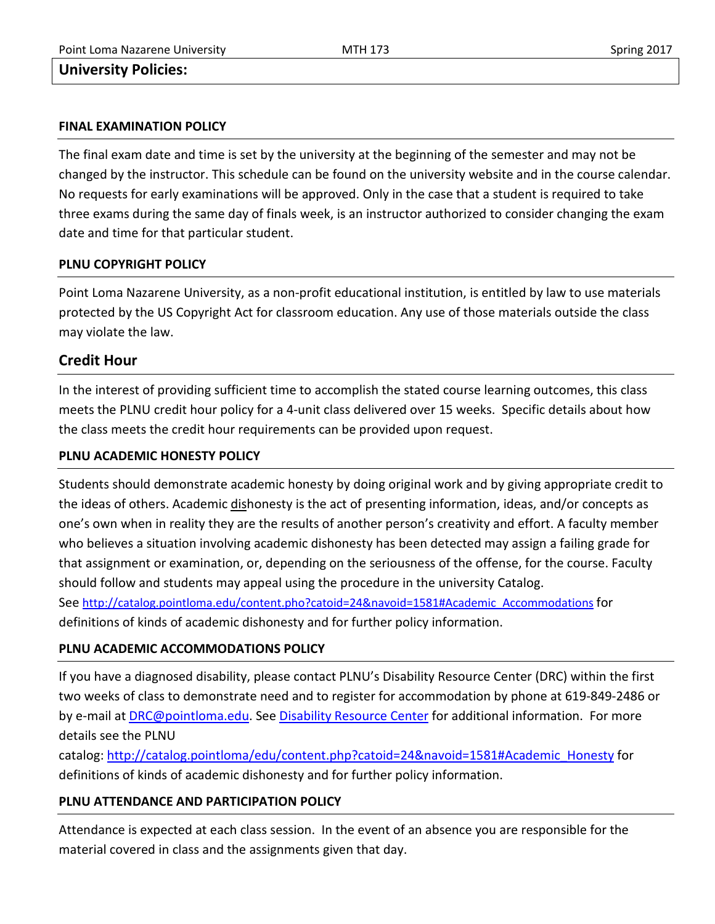# **University Policies:**

#### **FINAL EXAMINATION POLICY**

The final exam date and time is set by the university at the beginning of the semester and may not be changed by the instructor. This schedule can be found on the university website and in the course calendar. No requests for early examinations will be approved. Only in the case that a student is required to take three exams during the same day of finals week, is an instructor authorized to consider changing the exam date and time for that particular student.

### **PLNU COPYRIGHT POLICY**

Point Loma Nazarene University, as a non-profit educational institution, is entitled by law to use materials protected by the US Copyright Act for classroom education. Any use of those materials outside the class may violate the law.

# **Credit Hour**

In the interest of providing sufficient time to accomplish the stated course learning outcomes, this class meets the PLNU credit hour policy for a 4-unit class delivered over 15 weeks. Specific details about how the class meets the credit hour requirements can be provided upon request.

### **PLNU ACADEMIC HONESTY POLICY**

Students should demonstrate academic honesty by doing original work and by giving appropriate credit to the ideas of others. Academic dishonesty is the act of presenting information, ideas, and/or concepts as one's own when in reality they are the results of another person's creativity and effort. A faculty member who believes a situation involving academic dishonesty has been detected may assign a failing grade for that assignment or examination, or, depending on the seriousness of the offense, for the course. Faculty should follow and students may appeal using the procedure in the university Catalog. See [http://catalog.pointloma.edu/content.pho?catoid=24&navoid=1581#Academic\\_Accommodations](http://catalog.pointloma.edu/content.pho?catoid=24&navoid=1581#Academic_Accommodations) for

# **PLNU ACADEMIC ACCOMMODATIONS POLICY**

definitions of kinds of academic dishonesty and for further policy information.

If you have a diagnosed disability, please contact PLNU's Disability Resource Center (DRC) within the first two weeks of class to demonstrate need and to register for accommodation by phone at 619-849-2486 or by e-mail at **DRC@pointloma.edu. See [Disability Resource Center](http://www.pointloma.edu/experience/offices/administrative-offices/academic-advising-office/disability-resource-center) for additional information. For more** details see the PLNU

catalog[: http://catalog.pointloma/edu/content.php?catoid=24&navoid=1581#Academic\\_Honesty](http://catalog.pointloma/edu/content.php?catoid=24&navoid=1581#Academic_Honesty) for definitions of kinds of academic dishonesty and for further policy information.

# **PLNU ATTENDANCE AND PARTICIPATION POLICY**

Attendance is expected at each class session. In the event of an absence you are responsible for the material covered in class and the assignments given that day.